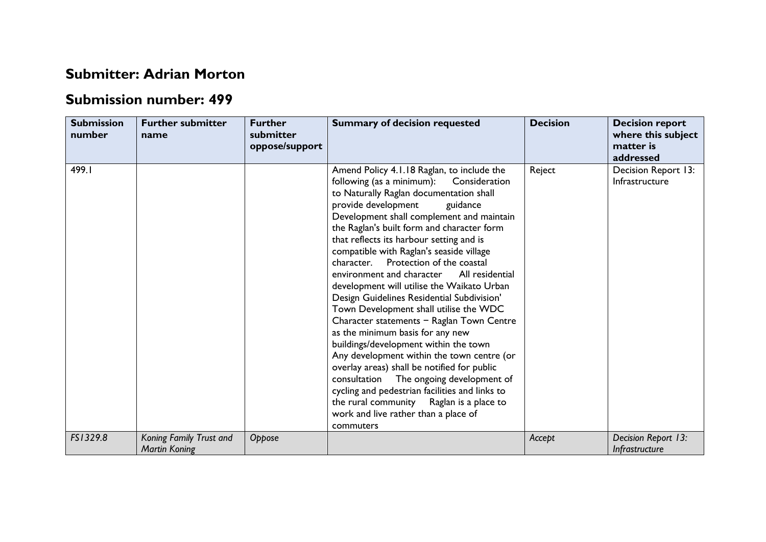## **Submitter: Adrian Morton**

## **Submission number: 499**

| <b>Submission</b><br>number | <b>Further submitter</b><br>name                | <b>Further</b><br>submitter<br>oppose/support | <b>Summary of decision requested</b>                                                                                                                                                                                                                                                                                                                                                                                                                                                                                                                                                                                                                                                                                                                                                                                                                                                                                                                                                                         | <b>Decision</b> | <b>Decision report</b><br>where this subject<br>matter is<br>addressed |
|-----------------------------|-------------------------------------------------|-----------------------------------------------|--------------------------------------------------------------------------------------------------------------------------------------------------------------------------------------------------------------------------------------------------------------------------------------------------------------------------------------------------------------------------------------------------------------------------------------------------------------------------------------------------------------------------------------------------------------------------------------------------------------------------------------------------------------------------------------------------------------------------------------------------------------------------------------------------------------------------------------------------------------------------------------------------------------------------------------------------------------------------------------------------------------|-----------------|------------------------------------------------------------------------|
| 499.I                       |                                                 |                                               | Amend Policy 4.1.18 Raglan, to include the<br>following (as a minimum): Consideration<br>to Naturally Raglan documentation shall<br>provide development<br>guidance<br>Development shall complement and maintain<br>the Raglan's built form and character form<br>that reflects its harbour setting and is<br>compatible with Raglan's seaside village<br>character. Protection of the coastal<br>environment and character<br>All residential<br>development will utilise the Waikato Urban<br>Design Guidelines Residential Subdivision'<br>Town Development shall utilise the WDC<br>Character statements - Raglan Town Centre<br>as the minimum basis for any new<br>buildings/development within the town<br>Any development within the town centre (or<br>overlay areas) shall be notified for public<br>The ongoing development of<br>consultation<br>cycling and pedestrian facilities and links to<br>the rural community Raglan is a place to<br>work and live rather than a place of<br>commuters | Reject          | Decision Report 13:<br>Infrastructure                                  |
| FS1329.8                    | Koning Family Trust and<br><b>Martin Koning</b> | Oppose                                        |                                                                                                                                                                                                                                                                                                                                                                                                                                                                                                                                                                                                                                                                                                                                                                                                                                                                                                                                                                                                              | Accept          | Decision Report 13:<br>Infrastructure                                  |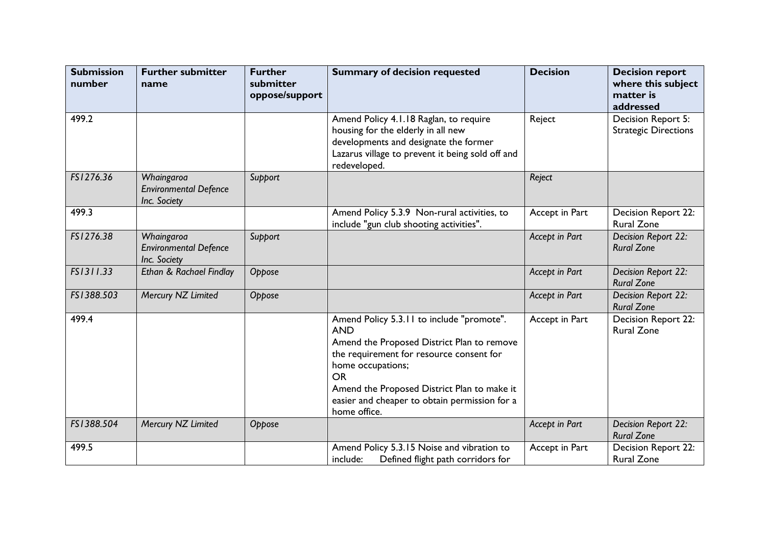| <b>Submission</b><br>number | <b>Further submitter</b><br>name                           | <b>Further</b><br>submitter<br>oppose/support | <b>Summary of decision requested</b>                                                                                                                                                                                                                                                                | <b>Decision</b> | <b>Decision report</b><br>where this subject<br>matter is<br>addressed |
|-----------------------------|------------------------------------------------------------|-----------------------------------------------|-----------------------------------------------------------------------------------------------------------------------------------------------------------------------------------------------------------------------------------------------------------------------------------------------------|-----------------|------------------------------------------------------------------------|
| 499.2                       |                                                            |                                               | Amend Policy 4.1.18 Raglan, to require<br>housing for the elderly in all new<br>developments and designate the former<br>Lazarus village to prevent it being sold off and<br>redeveloped.                                                                                                           | Reject          | Decision Report 5:<br><b>Strategic Directions</b>                      |
| FS1276.36                   | Whaingaroa<br><b>Environmental Defence</b><br>Inc. Society | Support                                       |                                                                                                                                                                                                                                                                                                     | Reject          |                                                                        |
| 499.3                       |                                                            |                                               | Amend Policy 5.3.9 Non-rural activities, to<br>include "gun club shooting activities".                                                                                                                                                                                                              | Accept in Part  | Decision Report 22:<br>Rural Zone                                      |
| FS1276.38                   | Whaingaroa<br><b>Environmental Defence</b><br>Inc. Society | Support                                       |                                                                                                                                                                                                                                                                                                     | Accept in Part  | Decision Report 22:<br><b>Rural Zone</b>                               |
| FS1311.33                   | Ethan & Rachael Findlay                                    | Oppose                                        |                                                                                                                                                                                                                                                                                                     | Accept in Part  | Decision Report 22:<br><b>Rural Zone</b>                               |
| FS1388.503                  | Mercury NZ Limited                                         | Oppose                                        |                                                                                                                                                                                                                                                                                                     | Accept in Part  | Decision Report 22:<br><b>Rural Zone</b>                               |
| 499.4                       |                                                            |                                               | Amend Policy 5.3.11 to include "promote".<br><b>AND</b><br>Amend the Proposed District Plan to remove<br>the requirement for resource consent for<br>home occupations;<br><b>OR</b><br>Amend the Proposed District Plan to make it<br>easier and cheaper to obtain permission for a<br>home office. | Accept in Part  | Decision Report 22:<br><b>Rural Zone</b>                               |
| FS1388.504                  | Mercury NZ Limited                                         | Oppose                                        |                                                                                                                                                                                                                                                                                                     | Accept in Part  | Decision Report 22:<br><b>Rural Zone</b>                               |
| 499.5                       |                                                            |                                               | Amend Policy 5.3.15 Noise and vibration to<br>Defined flight path corridors for<br>include:                                                                                                                                                                                                         | Accept in Part  | Decision Report 22:<br><b>Rural Zone</b>                               |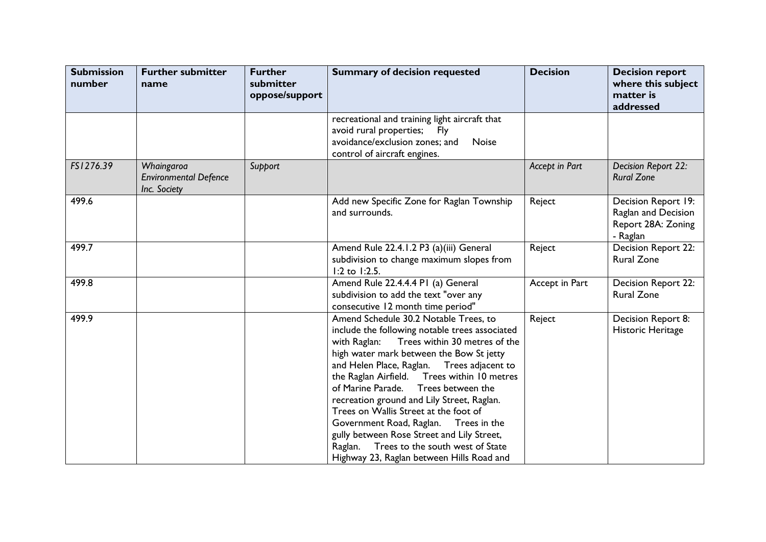| <b>Submission</b><br>number | <b>Further submitter</b><br>name                           | <b>Further</b><br>submitter<br>oppose/support | <b>Summary of decision requested</b>                                                                                                                                                                                                                                                                                                                                                                                                                                                                                                                                                             | <b>Decision</b> | <b>Decision report</b><br>where this subject<br>matter is<br>addressed       |
|-----------------------------|------------------------------------------------------------|-----------------------------------------------|--------------------------------------------------------------------------------------------------------------------------------------------------------------------------------------------------------------------------------------------------------------------------------------------------------------------------------------------------------------------------------------------------------------------------------------------------------------------------------------------------------------------------------------------------------------------------------------------------|-----------------|------------------------------------------------------------------------------|
|                             |                                                            |                                               | recreational and training light aircraft that<br>avoid rural properties;<br>Fly<br>avoidance/exclusion zones; and<br>Noise<br>control of aircraft engines.                                                                                                                                                                                                                                                                                                                                                                                                                                       |                 |                                                                              |
| FS1276.39                   | Whaingaroa<br><b>Environmental Defence</b><br>Inc. Society | Support                                       |                                                                                                                                                                                                                                                                                                                                                                                                                                                                                                                                                                                                  | Accept in Part  | Decision Report 22:<br><b>Rural Zone</b>                                     |
| 499.6                       |                                                            |                                               | Add new Specific Zone for Raglan Township<br>and surrounds.                                                                                                                                                                                                                                                                                                                                                                                                                                                                                                                                      | Reject          | Decision Report 19:<br>Raglan and Decision<br>Report 28A: Zoning<br>- Raglan |
| 499.7                       |                                                            |                                               | Amend Rule 22.4.1.2 P3 (a)(iii) General<br>subdivision to change maximum slopes from<br>1:2 to 1:2.5.                                                                                                                                                                                                                                                                                                                                                                                                                                                                                            | Reject          | Decision Report 22:<br><b>Rural Zone</b>                                     |
| 499.8                       |                                                            |                                               | Amend Rule 22.4.4.4 PI (a) General<br>subdivision to add the text "over any<br>consecutive 12 month time period"                                                                                                                                                                                                                                                                                                                                                                                                                                                                                 | Accept in Part  | Decision Report 22:<br><b>Rural Zone</b>                                     |
| 499.9                       |                                                            |                                               | Amend Schedule 30.2 Notable Trees, to<br>include the following notable trees associated<br>Trees within 30 metres of the<br>with Raglan:<br>high water mark between the Bow St jetty<br>and Helen Place, Raglan. Trees adjacent to<br>the Raglan Airfield.  Trees within 10 metres<br>of Marine Parade. Trees between the<br>recreation ground and Lily Street, Raglan.<br>Trees on Wallis Street at the foot of<br>Government Road, Raglan. Trees in the<br>gully between Rose Street and Lily Street,<br>Raglan. Trees to the south west of State<br>Highway 23, Raglan between Hills Road and | Reject          | Decision Report 8:<br>Historic Heritage                                      |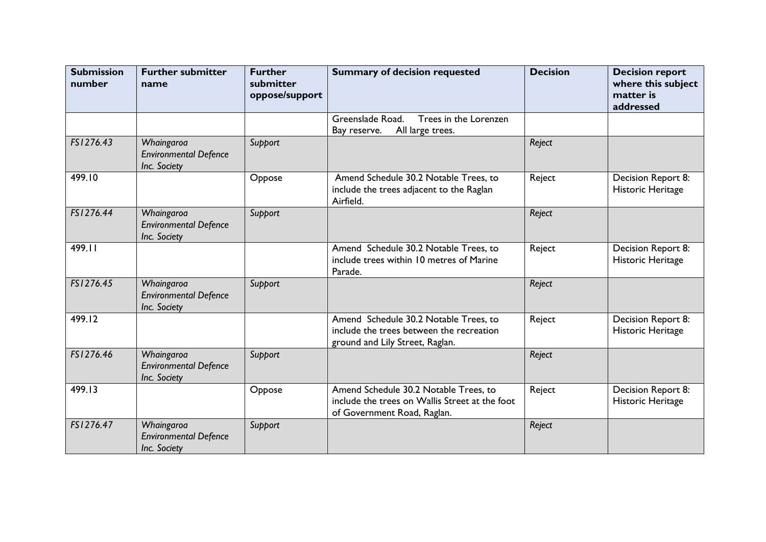| <b>Submission</b><br>number | <b>Further submitter</b><br>name                           | <b>Further</b><br>submitter<br>oppose/support | <b>Summary of decision requested</b>                                                                                   | <b>Decision</b> | <b>Decision report</b><br>where this subject<br>matter is<br>addressed |
|-----------------------------|------------------------------------------------------------|-----------------------------------------------|------------------------------------------------------------------------------------------------------------------------|-----------------|------------------------------------------------------------------------|
|                             |                                                            |                                               | Greenslade Road.<br>Trees in the Lorenzen<br>All large trees.<br>Bay reserve.                                          |                 |                                                                        |
| FS1276.43                   | Whaingaroa<br><b>Environmental Defence</b><br>Inc. Society | Support                                       |                                                                                                                        | Reject          |                                                                        |
| 499.10                      |                                                            | Oppose                                        | Amend Schedule 30.2 Notable Trees, to<br>include the trees adjacent to the Raglan<br>Airfield.                         | Reject          | Decision Report 8:<br>Historic Heritage                                |
| FS1276.44                   | Whaingaroa<br><b>Environmental Defence</b><br>Inc. Society | Support                                       |                                                                                                                        | Reject          |                                                                        |
| 499.11                      |                                                            |                                               | Amend Schedule 30.2 Notable Trees, to<br>include trees within 10 metres of Marine<br>Parade.                           | Reject          | Decision Report 8:<br>Historic Heritage                                |
| FS1276.45                   | Whaingaroa<br><b>Environmental Defence</b><br>Inc. Society | Support                                       |                                                                                                                        | Reject          |                                                                        |
| 499.12                      |                                                            |                                               | Amend Schedule 30.2 Notable Trees, to<br>include the trees between the recreation<br>ground and Lily Street, Raglan.   | Reject          | Decision Report 8:<br>Historic Heritage                                |
| FS1276.46                   | Whaingaroa<br><b>Environmental Defence</b><br>Inc. Society | Support                                       |                                                                                                                        | Reject          |                                                                        |
| 499.13                      |                                                            | Oppose                                        | Amend Schedule 30.2 Notable Trees, to<br>include the trees on Wallis Street at the foot<br>of Government Road, Raglan. | Reject          | Decision Report 8:<br>Historic Heritage                                |
| FS1276.47                   | Whaingaroa<br><b>Environmental Defence</b><br>Inc. Society | Support                                       |                                                                                                                        | Reject          |                                                                        |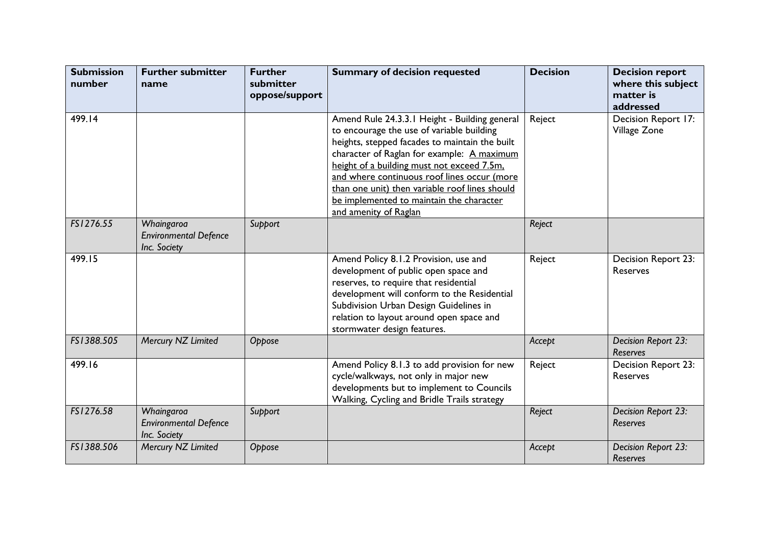| <b>Submission</b><br>number | <b>Further submitter</b><br>name                           | <b>Further</b><br>submitter<br>oppose/support | <b>Summary of decision requested</b>                                                                                                                                                                                                                                                                                                                                                                           | <b>Decision</b> | <b>Decision report</b><br>where this subject<br>matter is<br>addressed |
|-----------------------------|------------------------------------------------------------|-----------------------------------------------|----------------------------------------------------------------------------------------------------------------------------------------------------------------------------------------------------------------------------------------------------------------------------------------------------------------------------------------------------------------------------------------------------------------|-----------------|------------------------------------------------------------------------|
| 499.14                      |                                                            |                                               | Amend Rule 24.3.3.1 Height - Building general<br>to encourage the use of variable building<br>heights, stepped facades to maintain the built<br>character of Raglan for example: A maximum<br>height of a building must not exceed 7.5m.<br>and where continuous roof lines occur (more<br>than one unit) then variable roof lines should<br>be implemented to maintain the character<br>and amenity of Raglan | Reject          | Decision Report 17:<br>Village Zone                                    |
| FS1276.55                   | Whaingaroa<br><b>Environmental Defence</b><br>Inc. Society | Support                                       |                                                                                                                                                                                                                                                                                                                                                                                                                | Reject          |                                                                        |
| 499.15                      |                                                            |                                               | Amend Policy 8.1.2 Provision, use and<br>development of public open space and<br>reserves, to require that residential<br>development will conform to the Residential<br>Subdivision Urban Design Guidelines in<br>relation to layout around open space and<br>stormwater design features.                                                                                                                     | Reject          | <b>Decision Report 23:</b><br>Reserves                                 |
| FS1388.505                  | Mercury NZ Limited                                         | Oppose                                        |                                                                                                                                                                                                                                                                                                                                                                                                                | Accept          | Decision Report 23:<br>Reserves                                        |
| 499.16                      |                                                            |                                               | Amend Policy 8.1.3 to add provision for new<br>cycle/walkways, not only in major new<br>developments but to implement to Councils<br>Walking, Cycling and Bridle Trails strategy                                                                                                                                                                                                                               | Reject          | Decision Report 23:<br>Reserves                                        |
| FS1276.58                   | Whaingaroa<br><b>Environmental Defence</b><br>Inc. Society | Support                                       |                                                                                                                                                                                                                                                                                                                                                                                                                | Reject          | Decision Report 23:<br><b>Reserves</b>                                 |
| FS1388.506                  | Mercury NZ Limited                                         | Oppose                                        |                                                                                                                                                                                                                                                                                                                                                                                                                | Accept          | Decision Report 23:<br>Reserves                                        |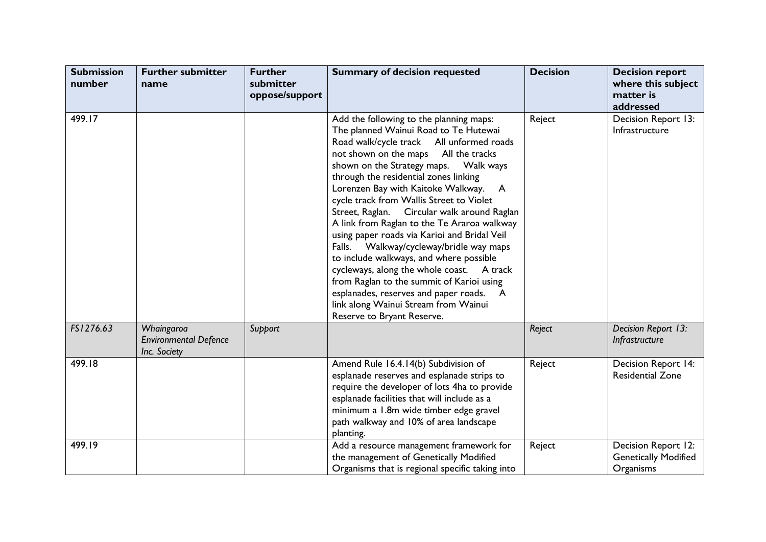| <b>Submission</b><br>number | <b>Further submitter</b><br>name                           | <b>Further</b><br>submitter<br>oppose/support | <b>Summary of decision requested</b>                                                                                                                                                                                                                                                                                                                                                                                                                                                                                                                                                                                                                                                                                                             | <b>Decision</b> | <b>Decision report</b><br>where this subject<br>matter is<br>addressed |
|-----------------------------|------------------------------------------------------------|-----------------------------------------------|--------------------------------------------------------------------------------------------------------------------------------------------------------------------------------------------------------------------------------------------------------------------------------------------------------------------------------------------------------------------------------------------------------------------------------------------------------------------------------------------------------------------------------------------------------------------------------------------------------------------------------------------------------------------------------------------------------------------------------------------------|-----------------|------------------------------------------------------------------------|
| 499.17                      |                                                            |                                               | Add the following to the planning maps:<br>The planned Wainui Road to Te Hutewai<br>Road walk/cycle track All unformed roads<br>not shown on the maps All the tracks<br>through the residential zones linking<br>Lorenzen Bay with Kaitoke Walkway. A<br>cycle track from Wallis Street to Violet<br>Street, Raglan. Circular walk around Raglan<br>A link from Raglan to the Te Araroa walkway<br>using paper roads via Karioi and Bridal Veil<br>Falls. Walkway/cycleway/bridle way maps<br>to include walkways, and where possible<br>cycleways, along the whole coast. A track<br>from Raglan to the summit of Karioi using<br>esplanades, reserves and paper roads. A<br>link along Wainui Stream from Wainui<br>Reserve to Bryant Reserve. | Reject          | Decision Report 13:<br>Infrastructure                                  |
| FS1276.63                   | Whaingaroa<br><b>Environmental Defence</b><br>Inc. Society | Support                                       |                                                                                                                                                                                                                                                                                                                                                                                                                                                                                                                                                                                                                                                                                                                                                  | Reject          | Decision Report 13:<br>Infrastructure                                  |
| 499.18                      |                                                            |                                               | Amend Rule 16.4.14(b) Subdivision of<br>esplanade reserves and esplanade strips to<br>require the developer of lots 4ha to provide<br>esplanade facilities that will include as a<br>minimum a 1.8m wide timber edge gravel<br>path walkway and 10% of area landscape<br>planting.                                                                                                                                                                                                                                                                                                                                                                                                                                                               | Reject          | Decision Report 14:<br><b>Residential Zone</b>                         |
| 499.19                      |                                                            |                                               | Add a resource management framework for<br>the management of Genetically Modified<br>Organisms that is regional specific taking into                                                                                                                                                                                                                                                                                                                                                                                                                                                                                                                                                                                                             | Reject          | Decision Report 12:<br><b>Genetically Modified</b><br>Organisms        |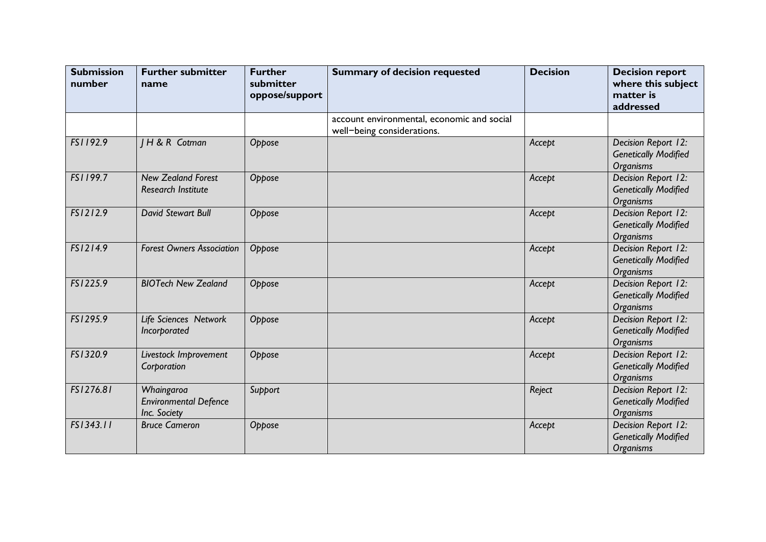| <b>Submission</b><br>number | <b>Further submitter</b><br>name                           | <b>Further</b><br>submitter<br>oppose/support | <b>Summary of decision requested</b>                                     | <b>Decision</b> | <b>Decision report</b><br>where this subject<br>matter is<br>addressed |
|-----------------------------|------------------------------------------------------------|-----------------------------------------------|--------------------------------------------------------------------------|-----------------|------------------------------------------------------------------------|
|                             |                                                            |                                               | account environmental, economic and social<br>well-being considerations. |                 |                                                                        |
| FS1192.9                    | H & R Cotman                                               | Oppose                                        |                                                                          | Accept          | Decision Report 12:<br><b>Genetically Modified</b><br><b>Organisms</b> |
| FS1199.7                    | <b>New Zealand Forest</b><br><b>Research Institute</b>     | Oppose                                        |                                                                          | Accept          | Decision Report 12:<br><b>Genetically Modified</b><br><b>Organisms</b> |
| FS1212.9                    | <b>David Stewart Bull</b>                                  | Oppose                                        |                                                                          | Accept          | Decision Report 12:<br><b>Genetically Modified</b><br><b>Organisms</b> |
| FS1214.9                    | <b>Forest Owners Association</b>                           | Oppose                                        |                                                                          | Accept          | Decision Report 12:<br><b>Genetically Modified</b><br><b>Organisms</b> |
| FS1225.9                    | <b>BIOTech New Zealand</b>                                 | Oppose                                        |                                                                          | Accept          | Decision Report 12:<br><b>Genetically Modified</b><br><b>Organisms</b> |
| FS1295.9                    | Life Sciences Network<br>Incorporated                      | Oppose                                        |                                                                          | Accept          | Decision Report 12:<br><b>Genetically Modified</b><br><b>Organisms</b> |
| FS1320.9                    | Livestock Improvement<br>Corporation                       | Oppose                                        |                                                                          | Accept          | Decision Report 12:<br><b>Genetically Modified</b><br><b>Organisms</b> |
| FS1276.81                   | Whaingaroa<br><b>Environmental Defence</b><br>Inc. Society | Support                                       |                                                                          | Reject          | Decision Report 12:<br><b>Genetically Modified</b><br><b>Organisms</b> |
| FS1343.11                   | <b>Bruce Cameron</b>                                       | Oppose                                        |                                                                          | Accept          | Decision Report 12:<br><b>Genetically Modified</b><br><b>Organisms</b> |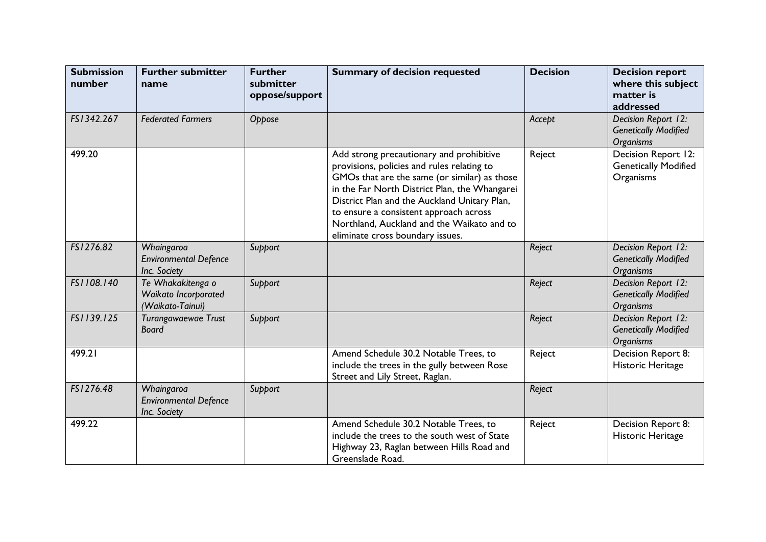| <b>Submission</b><br>number | <b>Further submitter</b><br>name                              | <b>Further</b><br>submitter<br>oppose/support | <b>Summary of decision requested</b>                                                                                                                                                                                                                                                                                                                                | <b>Decision</b> | <b>Decision report</b><br>where this subject<br>matter is<br>addressed |
|-----------------------------|---------------------------------------------------------------|-----------------------------------------------|---------------------------------------------------------------------------------------------------------------------------------------------------------------------------------------------------------------------------------------------------------------------------------------------------------------------------------------------------------------------|-----------------|------------------------------------------------------------------------|
| FS1342.267                  | <b>Federated Farmers</b>                                      | Oppose                                        |                                                                                                                                                                                                                                                                                                                                                                     | Accept          | Decision Report 12:<br><b>Genetically Modified</b><br><b>Organisms</b> |
| 499.20                      |                                                               |                                               | Add strong precautionary and prohibitive<br>provisions, policies and rules relating to<br>GMOs that are the same (or similar) as those<br>in the Far North District Plan, the Whangarei<br>District Plan and the Auckland Unitary Plan,<br>to ensure a consistent approach across<br>Northland, Auckland and the Waikato and to<br>eliminate cross boundary issues. | Reject          | Decision Report 12:<br><b>Genetically Modified</b><br>Organisms        |
| FS1276.82                   | Whaingaroa<br><b>Environmental Defence</b><br>Inc. Society    | Support                                       |                                                                                                                                                                                                                                                                                                                                                                     | Reject          | Decision Report 12:<br><b>Genetically Modified</b><br><b>Organisms</b> |
| FS1108.140                  | Te Whakakitenga o<br>Waikato Incorporated<br>(Waikato-Tainui) | Support                                       |                                                                                                                                                                                                                                                                                                                                                                     | Reject          | Decision Report 12:<br><b>Genetically Modified</b><br><b>Organisms</b> |
| FS1139.125                  | Turangawaewae Trust<br><b>Board</b>                           | Support                                       |                                                                                                                                                                                                                                                                                                                                                                     | Reject          | Decision Report 12:<br><b>Genetically Modified</b><br><b>Organisms</b> |
| 499.21                      |                                                               |                                               | Amend Schedule 30.2 Notable Trees, to<br>include the trees in the gully between Rose<br>Street and Lily Street, Raglan.                                                                                                                                                                                                                                             | Reject          | Decision Report 8:<br>Historic Heritage                                |
| FS1276.48                   | Whaingaroa<br><b>Environmental Defence</b><br>Inc. Society    | Support                                       |                                                                                                                                                                                                                                                                                                                                                                     | Reject          |                                                                        |
| 499.22                      |                                                               |                                               | Amend Schedule 30.2 Notable Trees, to<br>include the trees to the south west of State<br>Highway 23, Raglan between Hills Road and<br>Greenslade Road.                                                                                                                                                                                                              | Reject          | Decision Report 8:<br>Historic Heritage                                |